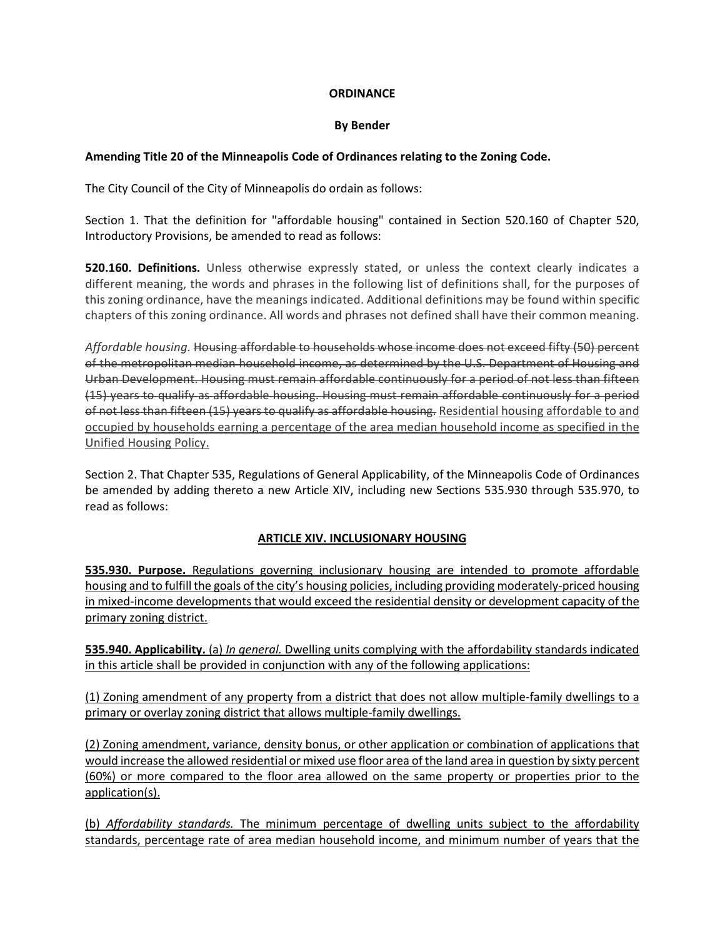## **ORDINANCE**

## **By Bender**

## **Amending Title 20 of the Minneapolis Code of Ordinances relating to the Zoning Code.**

The City Council of the City of Minneapolis do ordain as follows:

Section 1. That the definition for "affordable housing" contained in Section 520.160 of Chapter 520, Introductory Provisions, be amended to read as follows:

**520.160. Definitions.** Unless otherwise expressly stated, or unless the context clearly indicates a different meaning, the words and phrases in the following list of definitions shall, for the purposes of this zoning ordinance, have the meanings indicated. Additional definitions may be found within specific chapters of this zoning ordinance. All words and phrases not defined shall have their common meaning.

*Affordable housing.* Housing affordable to households whose income does not exceed fifty (50) percent of the metropolitan median household income, as determined by the U.S. Department of Housing and Urban Development. Housing must remain affordable continuously for a period of not less than fifteen (15) years to qualify as affordable housing. Housing must remain affordable continuously for a period of not less than fifteen (15) years to qualify as affordable housing. Residential housing affordable to and occupied by households earning a percentage of the area median household income as specified in the Unified Housing Policy.

Section 2. That Chapter 535, Regulations of General Applicability, of the Minneapolis Code of Ordinances be amended by adding thereto a new Article XIV, including new Sections 535.930 through 535.970, to read as follows:

## **ARTICLE XIV. INCLUSIONARY HOUSING**

**535.930. Purpose.** Regulations governing inclusionary housing are intended to promote affordable housing and to fulfill the goals of the city's housing policies, including providing moderately-priced housing in mixed-income developments that would exceed the residential density or development capacity of the primary zoning district.

**535.940. Applicability.** (a) *In general.* Dwelling units complying with the affordability standards indicated in this article shall be provided in conjunction with any of the following applications:

(1) Zoning amendment of any property from a district that does not allow multiple-family dwellings to a primary or overlay zoning district that allows multiple-family dwellings.

(2) Zoning amendment, variance, density bonus, or other application or combination of applications that would increase the allowed residential or mixed use floor area of the land area in question by sixty percent (60%) or more compared to the floor area allowed on the same property or properties prior to the application(s).

(b) *Affordability standards.* The minimum percentage of dwelling units subject to the affordability standards, percentage rate of area median household income, and minimum number of years that the